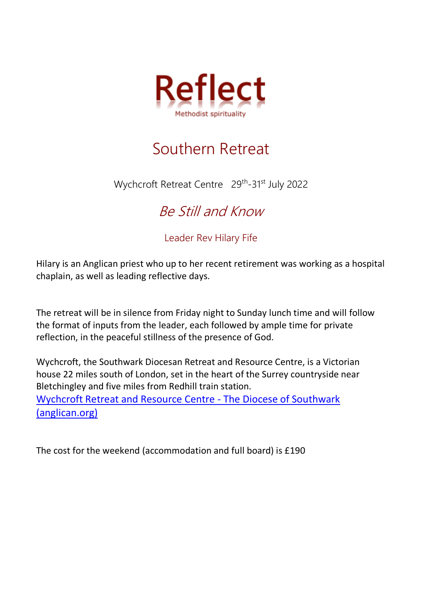

## Southern Retreat

Wychcroft Retreat Centre 29<sup>th</sup>-31<sup>st</sup> July 2022

## Be Still and Know

Leader Rev Hilary Fife

Hilary is an Anglican priest who up to her recent retirement was working as a hospital chaplain, as well as leading reflective days.

The retreat will be in silence from Friday night to Sunday lunch time and will follow the format of inputs from the leader, each followed by ample time for private reflection, in the peaceful stillness of the presence of God.

Wychcroft, the Southwark Diocesan Retreat and Resource Centre, is a Victorian house 22 miles south of London, set in the heart of the Surrey countryside near Bletchingley and five miles from Redhill train station. [Wychcroft Retreat and Resource Centre -](https://southwark.anglican.org/about-us/partners/wychcroft-retreat-house/) The Diocese of Southwark [\(anglican.org\)](https://southwark.anglican.org/about-us/partners/wychcroft-retreat-house/)

The cost for the weekend (accommodation and full board) is £190